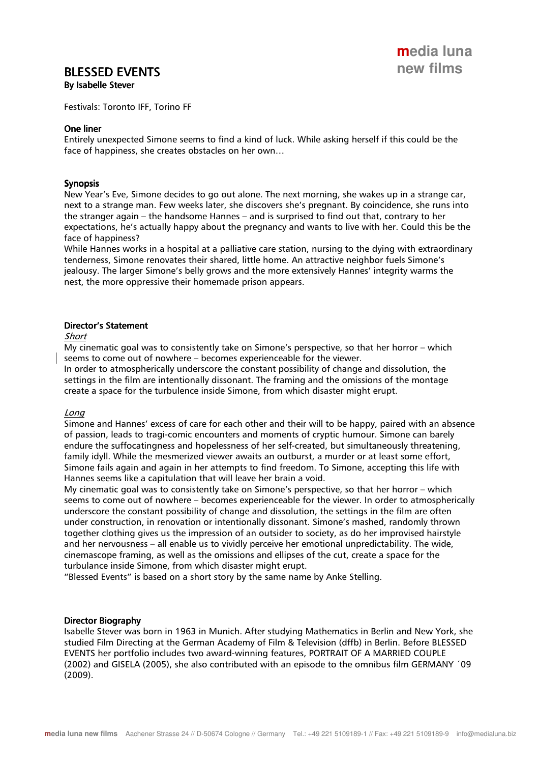# **BLESSED EVENTS**

By Isabelle Stever

Festivals: Toronto IFF, Torino FF

### One liner

Entirely unexpected Simone seems to find a kind of luck. While asking herself if this could be the face of happiness, she creates obstacles on her own…

## Synopsis

New Year's Eve, Simone decides to go out alone. The next morning, she wakes up in a strange car, next to a strange man. Few weeks later, she discovers she's pregnant. By coincidence, she runs into the stranger again – the handsome Hannes – and is surprised to find out that, contrary to her expectations, he's actually happy about the pregnancy and wants to live with her. Could this be the face of happiness?

While Hannes works in a hospital at a palliative care station, nursing to the dying with extraordinary tenderness, Simone renovates their shared, little home. An attractive neighbor fuels Simone's jealousy. The larger Simone's belly grows and the more extensively Hannes' integrity warms the nest, the more oppressive their homemade prison appears.

### Director's Statement

Short

My cinematic goal was to consistently take on Simone's perspective, so that her horror – which seems to come out of nowhere – becomes experienceable for the viewer.

In order to atmospherically underscore the constant possibility of change and dissolution, the settings in the film are intentionally dissonant. The framing and the omissions of the montage create a space for the turbulence inside Simone, from which disaster might erupt.

### Long

Simone and Hannes' excess of care for each other and their will to be happy, paired with an absence of passion, leads to tragi-comic encounters and moments of cryptic humour. Simone can barely endure the suffocatingness and hopelessness of her self-created, but simultaneously threatening, family idyll. While the mesmerized viewer awaits an outburst, a murder or at least some effort, Simone fails again and again in her attempts to find freedom. To Simone, accepting this life with Hannes seems like a capitulation that will leave her brain a void.

My cinematic goal was to consistently take on Simone's perspective, so that her horror – which seems to come out of nowhere – becomes experienceable for the viewer. In order to atmospherically underscore the constant possibility of change and dissolution, the settings in the film are often under construction, in renovation or intentionally dissonant. Simone's mashed, randomly thrown together clothing gives us the impression of an outsider to society, as do her improvised hairstyle and her nervousness – all enable us to vividly perceive her emotional unpredictability. The wide, cinemascope framing, as well as the omissions and ellipses of the cut, create a space for the turbulance inside Simone, from which disaster might erupt.

"Blessed Events" is based on a short story by the same name by Anke Stelling.

### Director Biography

Isabelle Stever was born in 1963 in Munich. After studying Mathematics in Berlin and New York, she studied Film Directing at the German Academy of Film & Television (dffb) in Berlin. Before BLESSED EVENTS her portfolio includes two award-winning features, PORTRAIT OF A MARRIED COUPLE (2002) and GISELA (2005), she also contributed with an episode to the omnibus film GERMANY ´09 (2009).